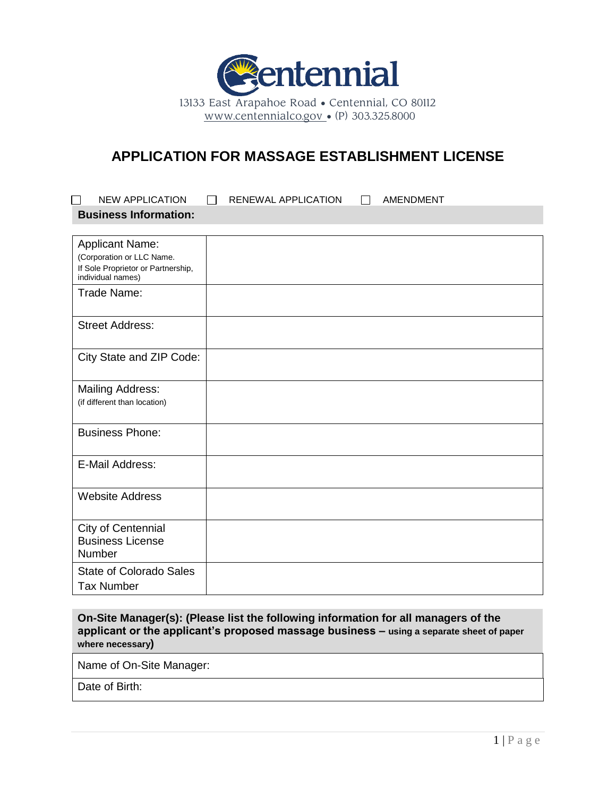

# **APPLICATION FOR MASSAGE ESTABLISHMENT LICENSE**

| <b>NEW APPLICATION</b>                                                                                         | <b>RENEWAL APPLICATION</b><br><b>AMENDMENT</b> |  |
|----------------------------------------------------------------------------------------------------------------|------------------------------------------------|--|
| <b>Business Information:</b>                                                                                   |                                                |  |
|                                                                                                                |                                                |  |
| <b>Applicant Name:</b><br>(Corporation or LLC Name.<br>If Sole Proprietor or Partnership,<br>individual names) |                                                |  |
| Trade Name:                                                                                                    |                                                |  |
| <b>Street Address:</b>                                                                                         |                                                |  |
| City State and ZIP Code:                                                                                       |                                                |  |
| <b>Mailing Address:</b><br>(if different than location)                                                        |                                                |  |
| <b>Business Phone:</b>                                                                                         |                                                |  |
| E-Mail Address:                                                                                                |                                                |  |
| <b>Website Address</b>                                                                                         |                                                |  |
| City of Centennial<br><b>Business License</b><br>Number                                                        |                                                |  |
| <b>State of Colorado Sales</b><br><b>Tax Number</b>                                                            |                                                |  |

**On-Site Manager(s): (Please list the following information for all managers of the applicant or the applicant's proposed massage business – using a separate sheet of paper where necessary)**

Name of On-Site Manager:

Date of Birth: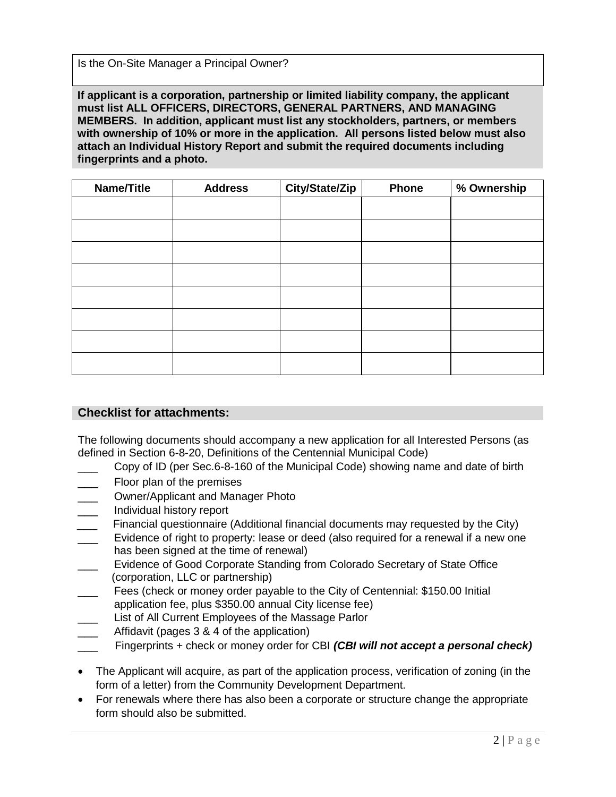Is the On-Site Manager a Principal Owner?

**If applicant is a corporation, partnership or limited liability company, the applicant must list ALL OFFICERS, DIRECTORS, GENERAL PARTNERS, AND MANAGING MEMBERS. In addition, applicant must list any stockholders, partners, or members with ownership of 10% or more in the application. All persons listed below must also attach an Individual History Report and submit the required documents including fingerprints and a photo.**

| Name/Title | <b>Address</b> | <b>City/State/Zip</b> | <b>Phone</b> | % Ownership |
|------------|----------------|-----------------------|--------------|-------------|
|            |                |                       |              |             |
|            |                |                       |              |             |
|            |                |                       |              |             |
|            |                |                       |              |             |
|            |                |                       |              |             |
|            |                |                       |              |             |
|            |                |                       |              |             |
|            |                |                       |              |             |

### **Checklist for attachments:**

The following documents should accompany a new application for all Interested Persons (as defined in Section 6-8-20, Definitions of the Centennial Municipal Code)

- \_\_\_ Copy of ID (per Sec.6-8-160 of the Municipal Code) showing name and date of birth
- Floor plan of the premises
- \_\_\_ Owner/Applicant and Manager Photo
- \_\_\_ Individual history report
- Financial questionnaire (Additional financial documents may requested by the City)
- Evidence of right to property: lease or deed (also required for a renewal if a new one has been signed at the time of renewal)
- Evidence of Good Corporate Standing from Colorado Secretary of State Office (corporation, LLC or partnership)
- Fees (check or money order payable to the City of Centennial: \$150.00 Initial application fee, plus \$350.00 annual City license fee)
- List of All Current Employees of the Massage Parlor
- Affidavit (pages 3 & 4 of the application)
- Fingerprints + check or money order for CBI *(CBI will not accept a personal check)*
- The Applicant will acquire, as part of the application process, verification of zoning (in the form of a letter) from the Community Development Department.
- For renewals where there has also been a corporate or structure change the appropriate form should also be submitted.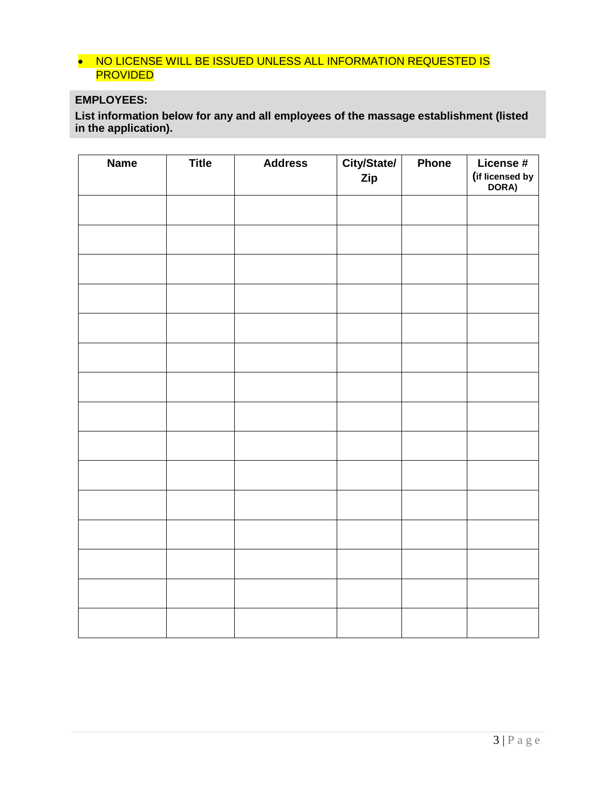### • NO LICENSE WILL BE ISSUED UNLESS ALL INFORMATION REQUESTED IS PROVIDED

## **EMPLOYEES:**

**List information below for any and all employees of the massage establishment (listed in the application).**

| <b>Name</b> | <b>Title</b> | <b>Address</b> | City/State/<br>Zip | Phone | License #<br>(if licensed by<br>DORA) |
|-------------|--------------|----------------|--------------------|-------|---------------------------------------|
|             |              |                |                    |       |                                       |
|             |              |                |                    |       |                                       |
|             |              |                |                    |       |                                       |
|             |              |                |                    |       |                                       |
|             |              |                |                    |       |                                       |
|             |              |                |                    |       |                                       |
|             |              |                |                    |       |                                       |
|             |              |                |                    |       |                                       |
|             |              |                |                    |       |                                       |
|             |              |                |                    |       |                                       |
|             |              |                |                    |       |                                       |
|             |              |                |                    |       |                                       |
|             |              |                |                    |       |                                       |
|             |              |                |                    |       |                                       |
|             |              |                |                    |       |                                       |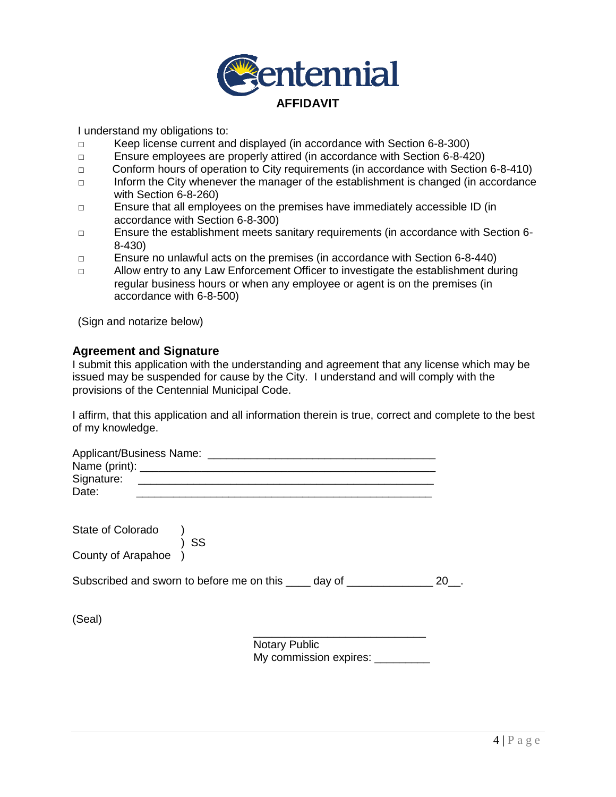

I understand my obligations to:

- **□** Keep license current and displayed (in accordance with Section 6-8-300)
- **□** Ensure employees are properly attired (in accordance with Section 6-8-420)
- **□** Conform hours of operation to City requirements (in accordance with Section 6-8-410)
- **□** Inform the City whenever the manager of the establishment is changed (in accordance with Section 6-8-260)
- **□** Ensure that all employees on the premises have immediately accessible ID (in accordance with Section 6-8-300)
- **□** Ensure the establishment meets sanitary requirements (in accordance with Section 6- 8-430)
- **□** Ensure no unlawful acts on the premises (in accordance with Section 6-8-440)
- **□** Allow entry to any Law Enforcement Officer to investigate the establishment during regular business hours or when any employee or agent is on the premises (in accordance with 6-8-500)

(Sign and notarize below)

#### **Agreement and Signature**

I submit this application with the understanding and agreement that any license which may be issued may be suspended for cause by the City. I understand and will comply with the provisions of the Centennial Municipal Code.

I affirm, that this application and all information therein is true, correct and complete to the best of my knowledge.

| Applicant/Business Name: |  |  |  |
|--------------------------|--|--|--|
|                          |  |  |  |
| Signature:               |  |  |  |
| Date:                    |  |  |  |
|                          |  |  |  |

| State of Colorado |  |  |  |
|-------------------|--|--|--|
|                   |  |  |  |
|                   |  |  |  |

) SS

County of Arapahoe )

Subscribed and sworn to before me on this \_\_\_\_ day of \_\_\_\_\_\_\_\_\_\_\_\_\_\_\_ 20\_\_.

(Seal)

\_\_\_\_\_\_\_\_\_\_\_\_\_\_\_\_\_\_\_\_\_\_\_\_\_\_\_\_ Notary Public My commission expires: \_\_\_\_\_\_\_\_\_